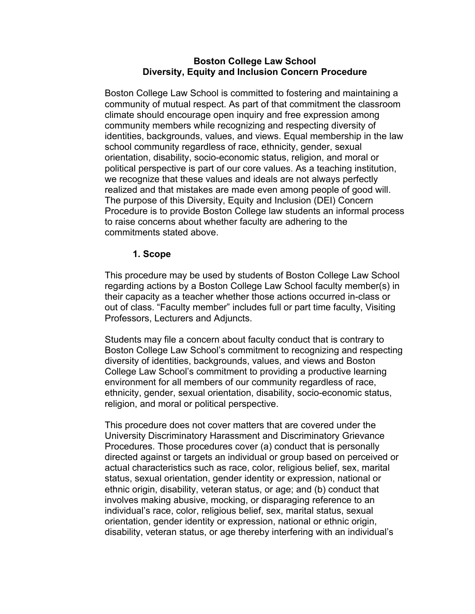### **Boston College Law School Diversity, Equity and Inclusion Concern Procedure**

Boston College Law School is committed to fostering and maintaining a community of mutual respect. As part of that commitment the classroom climate should encourage open inquiry and free expression among community members while recognizing and respecting diversity of identities, backgrounds, values, and views. Equal membership in the law school community regardless of race, ethnicity, gender, sexual orientation, disability, socio-economic status, religion, and moral or political perspective is part of our core values. As a teaching institution, we recognize that these values and ideals are not always perfectly realized and that mistakes are made even among people of good will. The purpose of this Diversity, Equity and Inclusion (DEI) Concern Procedure is to provide Boston College law students an informal process to raise concerns about whether faculty are adhering to the commitments stated above.

### **1. Scope**

This procedure may be used by students of Boston College Law School regarding actions by a Boston College Law School faculty member(s) in their capacity as a teacher whether those actions occurred in-class or out of class. "Faculty member" includes full or part time faculty, Visiting Professors, Lecturers and Adjuncts.

Students may file a concern about faculty conduct that is contrary to Boston College Law School's commitment to recognizing and respecting diversity of identities, backgrounds, values, and views and Boston College Law School's commitment to providing a productive learning environment for all members of our community regardless of race, ethnicity, gender, sexual orientation, disability, socio-economic status, religion, and moral or political perspective.

This procedure does not cover matters that are covered under the University Discriminatory Harassment and Discriminatory Grievance Procedures. Those procedures cover (a) conduct that is personally directed against or targets an individual or group based on perceived or actual characteristics such as race, color, religious belief, sex, marital status, sexual orientation, gender identity or expression, national or ethnic origin, disability, veteran status, or age; and (b) conduct that involves making abusive, mocking, or disparaging reference to an individual's race, color, religious belief, sex, marital status, sexual orientation, gender identity or expression, national or ethnic origin, disability, veteran status, or age thereby interfering with an individual's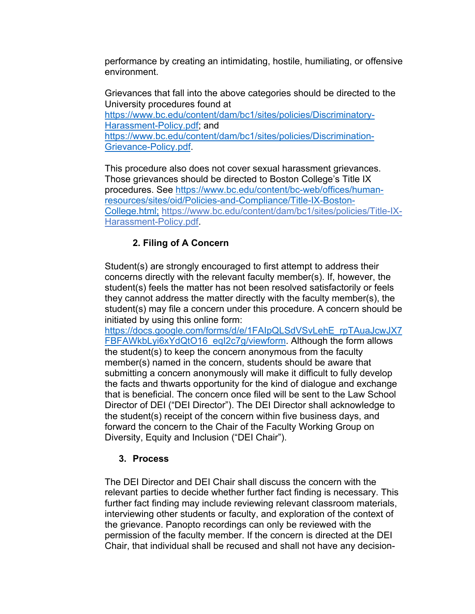performance by creating an intimidating, hostile, humiliating, or offensive environment.

Grievances that fall into the above categories should be directed to the University procedures found at https://www.bc.edu/content/dam/bc1/sites/policies/Discriminatory-Harassment-Policy.pdf; and https://www.bc.edu/content/dam/bc1/sites/policies/Discrimination-Grievance-Policy.pdf.

This procedure also does not cover sexual harassment grievances. Those grievances should be directed to Boston College's Title IX procedures. See https://www.bc.edu/content/bc-web/offices/humanresources/sites/oid/Policies-and-Compliance/Title-IX-Boston-College.html; https://www.bc.edu/content/dam/bc1/sites/policies/Title-IX-Harassment-Policy.pdf.

# **2. Filing of A Concern**

Student(s) are strongly encouraged to first attempt to address their concerns directly with the relevant faculty member(s). If, however, the student(s) feels the matter has not been resolved satisfactorily or feels they cannot address the matter directly with the faculty member(s), the student(s) may file a concern under this procedure. A concern should be initiated by using this online form:

https://docs.google.com/forms/d/e/1FAIpQLSdVSvLehE\_rpTAuaJcwJX7 FBFAWkbLyi6xYdQtO16\_eql2c7g/viewform. Although the form allows the student(s) to keep the concern anonymous from the faculty member(s) named in the concern, students should be aware that submitting a concern anonymously will make it difficult to fully develop the facts and thwarts opportunity for the kind of dialogue and exchange that is beneficial. The concern once filed will be sent to the Law School Director of DEI ("DEI Director"). The DEI Director shall acknowledge to the student(s) receipt of the concern within five business days, and forward the concern to the Chair of the Faculty Working Group on Diversity, Equity and Inclusion ("DEI Chair").

### **3. Process**

The DEI Director and DEI Chair shall discuss the concern with the relevant parties to decide whether further fact finding is necessary. This further fact finding may include reviewing relevant classroom materials, interviewing other students or faculty, and exploration of the context of the grievance. Panopto recordings can only be reviewed with the permission of the faculty member. If the concern is directed at the DEI Chair, that individual shall be recused and shall not have any decision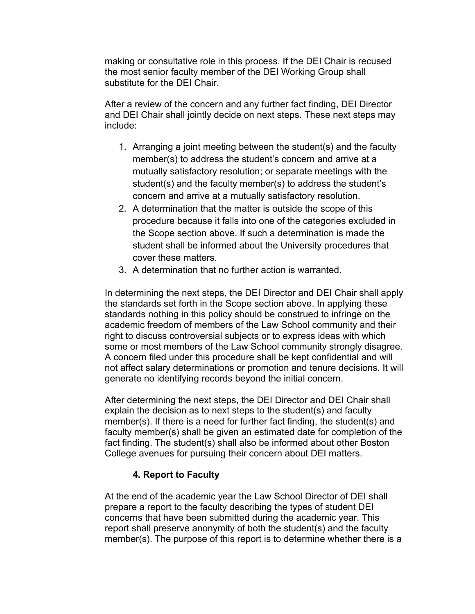making or consultative role in this process. If the DEI Chair is recused the most senior faculty member of the DEI Working Group shall substitute for the DEI Chair.

After a review of the concern and any further fact finding, DEI Director and DEI Chair shall jointly decide on next steps. These next steps may include:

- 1. Arranging a joint meeting between the student(s) and the faculty member(s) to address the student's concern and arrive at a mutually satisfactory resolution; or separate meetings with the student(s) and the faculty member(s) to address the student's concern and arrive at a mutually satisfactory resolution.
- 2. A determination that the matter is outside the scope of this procedure because it falls into one of the categories excluded in the Scope section above. If such a determination is made the student shall be informed about the University procedures that cover these matters.
- 3. A determination that no further action is warranted.

In determining the next steps, the DEI Director and DEI Chair shall apply the standards set forth in the Scope section above. In applying these standards nothing in this policy should be construed to infringe on the academic freedom of members of the Law School community and their right to discuss controversial subjects or to express ideas with which some or most members of the Law School community strongly disagree. A concern filed under this procedure shall be kept confidential and will not affect salary determinations or promotion and tenure decisions. It will generate no identifying records beyond the initial concern.

After determining the next steps, the DEI Director and DEI Chair shall explain the decision as to next steps to the student(s) and faculty member(s). If there is a need for further fact finding, the student(s) and faculty member(s) shall be given an estimated date for completion of the fact finding. The student(s) shall also be informed about other Boston College avenues for pursuing their concern about DEI matters.

## **4. Report to Faculty**

At the end of the academic year the Law School Director of DEI shall prepare a report to the faculty describing the types of student DEI concerns that have been submitted during the academic year. This report shall preserve anonymity of both the student(s) and the faculty member(s). The purpose of this report is to determine whether there is a